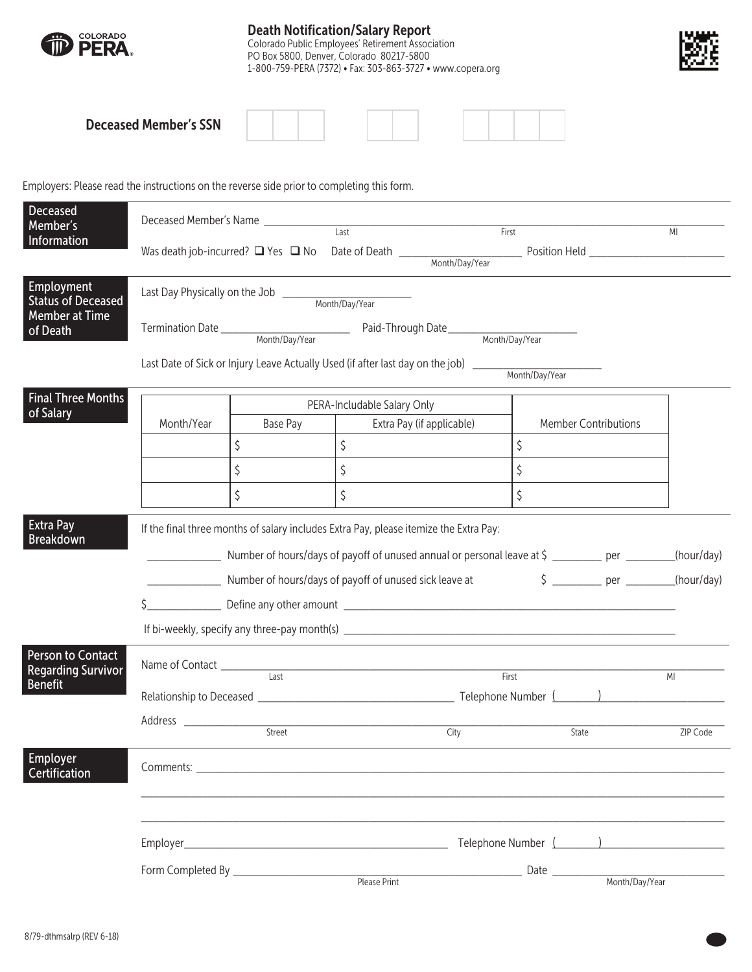

## Death Notification/Salary Report

Colorado Public Employees' Retirement Association PO Box 5800, Denver, Colorado 80217-5800 1-800-759-PERA (7372) • Fax: 303-863-3727 • www.copera.org



| <b>Deceased Member's SSN</b> |  |  |  |  |  |  |  |  |  |
|------------------------------|--|--|--|--|--|--|--|--|--|
|------------------------------|--|--|--|--|--|--|--|--|--|

Employers: Please read the instructions on the reverse side prior to completing this form.

| Member's<br>$\overline{Last}$<br>First<br>MI<br>Information<br>Was death job-incurred? $\Box$ Yes $\Box$ No Date of Death $\frac{M_{\text{O}}}{M_{\text{O}}-M_{\text{O}}-M_{\text{O}}-M_{\text{O}}-M_{\text{O}}-M_{\text{O}}-M_{\text{O}}-M_{\text{O}}-M_{\text{O}}-M_{\text{O}}-M_{\text{O}}-M_{\text{O}}-M_{\text{O}}-M_{\text{O}}-M_{\text{O}}-M_{\text{O}}-M_{\text{O}}-M_{\text{O}}-M_{\text{O}}-M_{$<br>Employment<br><b>Status of Deceased</b><br><b>Member at Time</b><br>of Death<br><b>Final Three Months</b><br>PERA-Includable Salary Only<br>of Salary<br>Month/Year<br>Base Pay<br>Extra Pay (if applicable)<br><b>Member Contributions</b><br>\$<br>$\zeta$<br>\$<br>$\zeta$<br>$\zeta$<br>\$<br>\$<br>$\zeta$<br>\$<br><b>Extra Pay</b><br>If the final three months of salary includes Extra Pay, please itemize the Extra Pay:<br><b>Breakdown</b><br>Number of hours/days of payoff of unused annual or personal leave at \$ _________ per _______<br>(hour/day)<br>Number of hours/days of payoff of unused sick leave at \$ _______ per _______<br>Person to Contact<br><b>Regarding Survivor</b><br>Last<br>First<br>MI<br><b>Benefit</b><br>City<br>ZIP Code<br>State<br>Employer<br>Certification | Deceased | Deceased Member's Name |  |  |  |  |            |  |  |
|---------------------------------------------------------------------------------------------------------------------------------------------------------------------------------------------------------------------------------------------------------------------------------------------------------------------------------------------------------------------------------------------------------------------------------------------------------------------------------------------------------------------------------------------------------------------------------------------------------------------------------------------------------------------------------------------------------------------------------------------------------------------------------------------------------------------------------------------------------------------------------------------------------------------------------------------------------------------------------------------------------------------------------------------------------------------------------------------------------------------------------------------------------------------------------------------------------------------------|----------|------------------------|--|--|--|--|------------|--|--|
|                                                                                                                                                                                                                                                                                                                                                                                                                                                                                                                                                                                                                                                                                                                                                                                                                                                                                                                                                                                                                                                                                                                                                                                                                           |          |                        |  |  |  |  |            |  |  |
|                                                                                                                                                                                                                                                                                                                                                                                                                                                                                                                                                                                                                                                                                                                                                                                                                                                                                                                                                                                                                                                                                                                                                                                                                           |          |                        |  |  |  |  |            |  |  |
|                                                                                                                                                                                                                                                                                                                                                                                                                                                                                                                                                                                                                                                                                                                                                                                                                                                                                                                                                                                                                                                                                                                                                                                                                           |          |                        |  |  |  |  |            |  |  |
|                                                                                                                                                                                                                                                                                                                                                                                                                                                                                                                                                                                                                                                                                                                                                                                                                                                                                                                                                                                                                                                                                                                                                                                                                           |          |                        |  |  |  |  |            |  |  |
|                                                                                                                                                                                                                                                                                                                                                                                                                                                                                                                                                                                                                                                                                                                                                                                                                                                                                                                                                                                                                                                                                                                                                                                                                           |          |                        |  |  |  |  |            |  |  |
|                                                                                                                                                                                                                                                                                                                                                                                                                                                                                                                                                                                                                                                                                                                                                                                                                                                                                                                                                                                                                                                                                                                                                                                                                           |          |                        |  |  |  |  |            |  |  |
|                                                                                                                                                                                                                                                                                                                                                                                                                                                                                                                                                                                                                                                                                                                                                                                                                                                                                                                                                                                                                                                                                                                                                                                                                           |          |                        |  |  |  |  |            |  |  |
|                                                                                                                                                                                                                                                                                                                                                                                                                                                                                                                                                                                                                                                                                                                                                                                                                                                                                                                                                                                                                                                                                                                                                                                                                           |          |                        |  |  |  |  |            |  |  |
|                                                                                                                                                                                                                                                                                                                                                                                                                                                                                                                                                                                                                                                                                                                                                                                                                                                                                                                                                                                                                                                                                                                                                                                                                           |          |                        |  |  |  |  |            |  |  |
|                                                                                                                                                                                                                                                                                                                                                                                                                                                                                                                                                                                                                                                                                                                                                                                                                                                                                                                                                                                                                                                                                                                                                                                                                           |          |                        |  |  |  |  |            |  |  |
|                                                                                                                                                                                                                                                                                                                                                                                                                                                                                                                                                                                                                                                                                                                                                                                                                                                                                                                                                                                                                                                                                                                                                                                                                           |          |                        |  |  |  |  |            |  |  |
|                                                                                                                                                                                                                                                                                                                                                                                                                                                                                                                                                                                                                                                                                                                                                                                                                                                                                                                                                                                                                                                                                                                                                                                                                           |          |                        |  |  |  |  |            |  |  |
|                                                                                                                                                                                                                                                                                                                                                                                                                                                                                                                                                                                                                                                                                                                                                                                                                                                                                                                                                                                                                                                                                                                                                                                                                           |          |                        |  |  |  |  | (hour/day) |  |  |
|                                                                                                                                                                                                                                                                                                                                                                                                                                                                                                                                                                                                                                                                                                                                                                                                                                                                                                                                                                                                                                                                                                                                                                                                                           |          |                        |  |  |  |  |            |  |  |
|                                                                                                                                                                                                                                                                                                                                                                                                                                                                                                                                                                                                                                                                                                                                                                                                                                                                                                                                                                                                                                                                                                                                                                                                                           |          |                        |  |  |  |  |            |  |  |
|                                                                                                                                                                                                                                                                                                                                                                                                                                                                                                                                                                                                                                                                                                                                                                                                                                                                                                                                                                                                                                                                                                                                                                                                                           |          |                        |  |  |  |  |            |  |  |
|                                                                                                                                                                                                                                                                                                                                                                                                                                                                                                                                                                                                                                                                                                                                                                                                                                                                                                                                                                                                                                                                                                                                                                                                                           |          |                        |  |  |  |  |            |  |  |
|                                                                                                                                                                                                                                                                                                                                                                                                                                                                                                                                                                                                                                                                                                                                                                                                                                                                                                                                                                                                                                                                                                                                                                                                                           |          |                        |  |  |  |  |            |  |  |
|                                                                                                                                                                                                                                                                                                                                                                                                                                                                                                                                                                                                                                                                                                                                                                                                                                                                                                                                                                                                                                                                                                                                                                                                                           |          |                        |  |  |  |  |            |  |  |
|                                                                                                                                                                                                                                                                                                                                                                                                                                                                                                                                                                                                                                                                                                                                                                                                                                                                                                                                                                                                                                                                                                                                                                                                                           |          |                        |  |  |  |  |            |  |  |
|                                                                                                                                                                                                                                                                                                                                                                                                                                                                                                                                                                                                                                                                                                                                                                                                                                                                                                                                                                                                                                                                                                                                                                                                                           |          |                        |  |  |  |  |            |  |  |
|                                                                                                                                                                                                                                                                                                                                                                                                                                                                                                                                                                                                                                                                                                                                                                                                                                                                                                                                                                                                                                                                                                                                                                                                                           |          |                        |  |  |  |  |            |  |  |
|                                                                                                                                                                                                                                                                                                                                                                                                                                                                                                                                                                                                                                                                                                                                                                                                                                                                                                                                                                                                                                                                                                                                                                                                                           |          |                        |  |  |  |  |            |  |  |